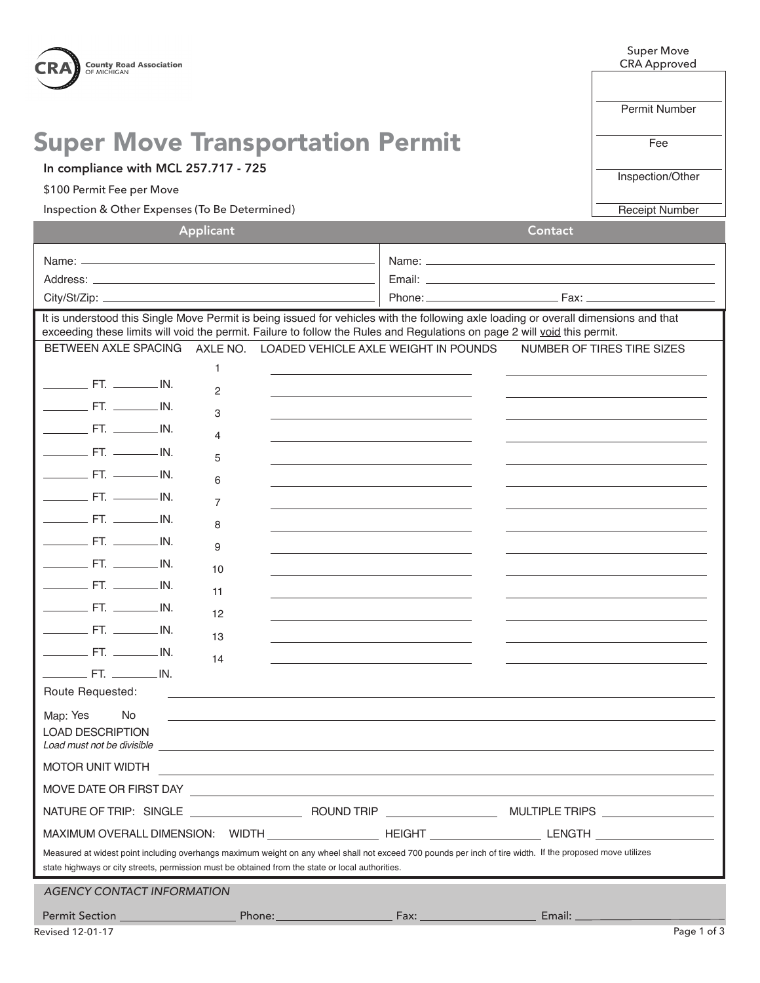

## Super Move Transportation Permit OCEANA COUNTY ROAD COMMISSION

In compliance with MCL 257.717 - 725

\$100 Permit Fee per Move

Inspection & Other Expenses (To Be Determined)

Super Move CRA Approved

Permit Number

Fee

Inspection/Other

Receipt Number

| Applicant                                                                                                                                                                                                                                                         |      | Contact                    |  |
|-------------------------------------------------------------------------------------------------------------------------------------------------------------------------------------------------------------------------------------------------------------------|------|----------------------------|--|
| Name: $\frac{1}{2}$                                                                                                                                                                                                                                               |      |                            |  |
|                                                                                                                                                                                                                                                                   |      |                            |  |
|                                                                                                                                                                                                                                                                   |      |                            |  |
| It is understood this Single Move Permit is being issued for vehicles with the following axle loading or overall dimensions and that<br>exceeding these limits will void the permit. Failure to follow the Rules and Regulations on page 2 will void this permit. |      |                            |  |
| AXLE NO. LOADED VEHICLE AXLE WEIGHT IN POUNDS<br>BETWEEN AXLE SPACING                                                                                                                                                                                             |      | NUMBER OF TIRES TIRE SIZES |  |
| 1                                                                                                                                                                                                                                                                 |      |                            |  |
| $\frac{1}{1}$ FT. $\frac{1}{1}$ IN.<br>2                                                                                                                                                                                                                          |      |                            |  |
| $\frac{1}{1}$ FT. $\frac{1}{1}$ IN.<br>3                                                                                                                                                                                                                          |      |                            |  |
| $\frac{1}{1}$ FT. $\frac{1}{1}$ IN.<br>4                                                                                                                                                                                                                          |      |                            |  |
| $\frac{1}{1}$ FT. $\frac{1}{1}$ IN.<br>5                                                                                                                                                                                                                          |      |                            |  |
| $\frac{1}{1}$ FT. $\frac{1}{1}$ IN.<br>6                                                                                                                                                                                                                          |      |                            |  |
| $\frac{1}{1}$ FT. $\frac{1}{1}$ IN.<br>7                                                                                                                                                                                                                          |      |                            |  |
| $\frac{1}{1}$ FT. $\frac{1}{1}$ IN.<br>8                                                                                                                                                                                                                          |      |                            |  |
| $\frac{1}{1}$ FT. $\frac{1}{1}$ IN.<br>9                                                                                                                                                                                                                          |      |                            |  |
| $F.$ FT. ___________ IN.<br>10                                                                                                                                                                                                                                    |      |                            |  |
| $\frac{1}{1}$ FT. $\frac{1}{1}$ IN.<br>11                                                                                                                                                                                                                         |      |                            |  |
| $\frac{1}{1}$ FT. $\frac{1}{1}$ IN.<br>12                                                                                                                                                                                                                         |      |                            |  |
| $\frac{1}{1}$ FT. $\frac{1}{1}$ IN.                                                                                                                                                                                                                               |      |                            |  |
| 13<br>$\frac{1}{1}$ FT. $\frac{1}{1}$ IN.                                                                                                                                                                                                                         |      |                            |  |
| 14<br>$\frac{1}{1}$ FT. $\frac{1}{1}$ IN.                                                                                                                                                                                                                         |      |                            |  |
| Route Requested:<br><u> 1989 - Johann Stoff, deutscher Stoff, der Stoff, der Stoff, der Stoff, der Stoff, der Stoff, der Stoff, der S</u>                                                                                                                         |      |                            |  |
| Map: Yes<br>No.<br>and the control of the control of the control of the control of the control of the control of the control of the<br><b>LOAD DESCRIPTION</b>                                                                                                    |      |                            |  |
| <b>MOTOR UNIT WIDTH</b>                                                                                                                                                                                                                                           |      |                            |  |
| MOVE DATE OR FIRST DAY                                                                                                                                                                                                                                            |      |                            |  |
|                                                                                                                                                                                                                                                                   |      |                            |  |
| MAXIMUM OVERALL DIMENSION: WIDTH _____________________HEIGHT _______________LENGTH                                                                                                                                                                                |      |                            |  |
| Measured at widest point including overhangs maximum weight on any wheel shall not exceed 700 pounds per inch of tire width. If the proposed move utilizes<br>state highways or city streets, permission must be obtained from the state or local authorities.    |      |                            |  |
| <b>AGENCY CONTACT INFORMATION</b>                                                                                                                                                                                                                                 |      |                            |  |
| Phone:<br>Permit Section __________________                                                                                                                                                                                                                       | Fax: | Email: $\equiv$            |  |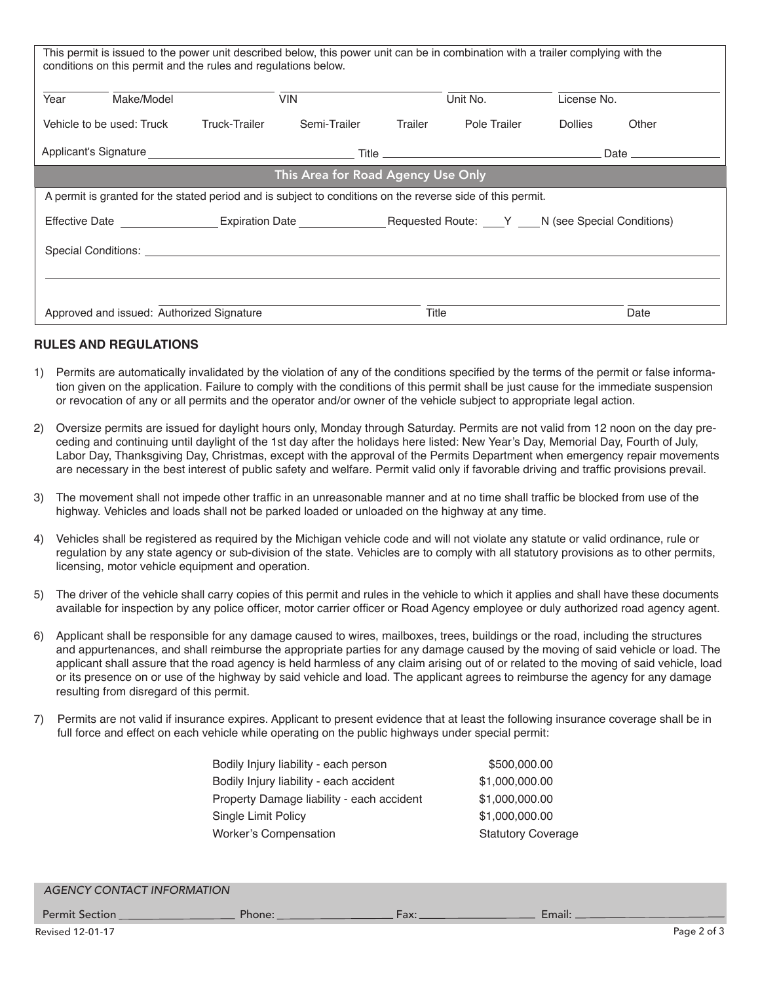| This permit is issued to the power unit described below, this power unit can be in combination with a trailer complying with the<br>conditions on this permit and the rules and regulations below.                             |                               |         |              |                |                        |
|--------------------------------------------------------------------------------------------------------------------------------------------------------------------------------------------------------------------------------|-------------------------------|---------|--------------|----------------|------------------------|
| Make/Model<br>Year                                                                                                                                                                                                             | <b>VIN</b>                    |         | Unit No.     | License No.    |                        |
| Vehicle to be used: Truck                                                                                                                                                                                                      | Truck-Trailer<br>Semi-Trailer | Trailer | Pole Trailer | <b>Dollies</b> | Other                  |
|                                                                                                                                                                                                                                |                               |         |              |                | Date _________________ |
| This Area for Road Agency Use Only                                                                                                                                                                                             |                               |         |              |                |                        |
| A permit is granted for the stated period and is subject to conditions on the reverse side of this permit.                                                                                                                     |                               |         |              |                |                        |
|                                                                                                                                                                                                                                |                               |         |              |                |                        |
| Special Conditions: Letter and the second second second second second second second second second second second second second second second second second second second second second second second second second second secon |                               |         |              |                |                        |
|                                                                                                                                                                                                                                |                               |         |              |                |                        |
|                                                                                                                                                                                                                                |                               |         |              |                |                        |
| Approved and issued: Authorized Signature                                                                                                                                                                                      |                               | Title   |              |                | Date                   |

## **RULES AND REGULATIONS**

- 1) Permits are automatically invalidated by the violation of any of the conditions specified by the terms of the permit or false information given on the application. Failure to comply with the conditions of this permit shall be just cause for the immediate suspension or revocation of any or all permits and the operator and/or owner of the vehicle subject to appropriate legal action.
- 2) Oversize permits are issued for daylight hours only, Monday through Saturday. Permits are not valid from 12 noon on the day pre- ceding and continuing until daylight of the 1st day after the holidays here listed: New Year's Day, Memorial Day, Fourth of July, are necessary in the best interest of public safety and welfare. Permit valid only if favorable driving and traffic provisions prevail. Labor Day, Thanksgiving Day, Christmas, except with the approval of the Permits Department when emergency repair movements
- 3) The movement shall not impede other traffic in an unreasonable manner and at no time shall traffic be blocked from use of the highway. Vehicles and loads shall not be parked loaded or unloaded on the highway at any time.
- regulation by any state agency or sub-division of the state. Vehicles are to comply with all statutory provisions as to other permits, 4) Vehicles shall be registered as required by the Michigan vehicle code and will not violate any statute or valid ordinance, rule or licensing, motor vehicle equipment and operation.
- available for inspection by any police officer, motor carrier officer or Road Agency employee or duly authorized road agency agent. 5) The driver of the vehicle shall carry copies of this permit and rules in the vehicle to which it applies and shall have these documents
- 6) Applicant shall be responsible for any damage caused to wires, mailboxes, trees, buildings or the road, including the structures and appurtenances, and shall reimburse the appropriate parties for any damage caused by the moving of said vehicle or load. The applicant shall assure that the road agency is held harmless of any claim arising out of or related to the moving of said vehicle, load or its presence on or use of the highway by said vehicle and load. The applicant agrees to reimburse the agency for any damage resulting from disregard of this permit.
- 7) Permits are not valid if insurance expires. Applicant to present evidence that at least the following insurance coverage shall be in full force and effect on each vehicle while operating on the public highways under special permit:

| Bodily Injury liability - each person     | \$500,000.00              |
|-------------------------------------------|---------------------------|
| Bodily Injury liability - each accident   | \$1,000,000.00            |
| Property Damage liability - each accident | \$1,000,000.00            |
| Single Limit Policy                       | \$1,000,000.00            |
| <b>Worker's Compensation</b>              | <b>Statutory Coverage</b> |
|                                           |                           |

| <b>AGENCY CONTACT INFORMATION</b> |        |      |        |             |
|-----------------------------------|--------|------|--------|-------------|
| Permit Section                    | Phone: | Fax: | Email: |             |
| Revised 12-01-17                  |        |      |        | Page 2 of 3 |